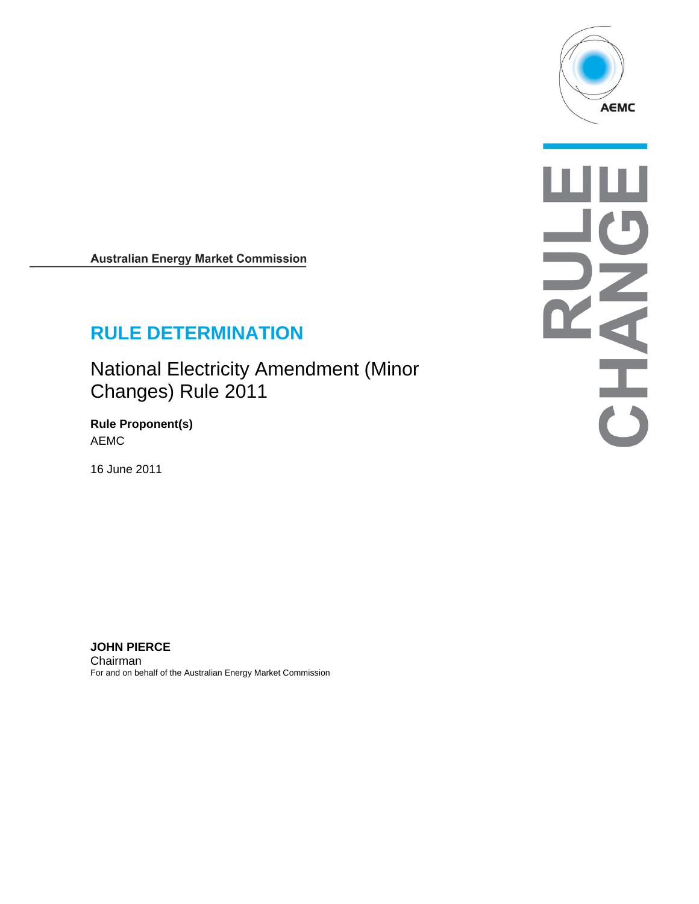

**Australian Energy Market Commission** 

# **RULE DETERMINATION**

National Electricity Amendment (Minor Changes) Rule 2011

**Rule Proponent(s)**  AEMC

16 June 2011

шш NATHER

**JOHN PIERCE**  Chairman For and on behalf of the Australian Energy Market Commission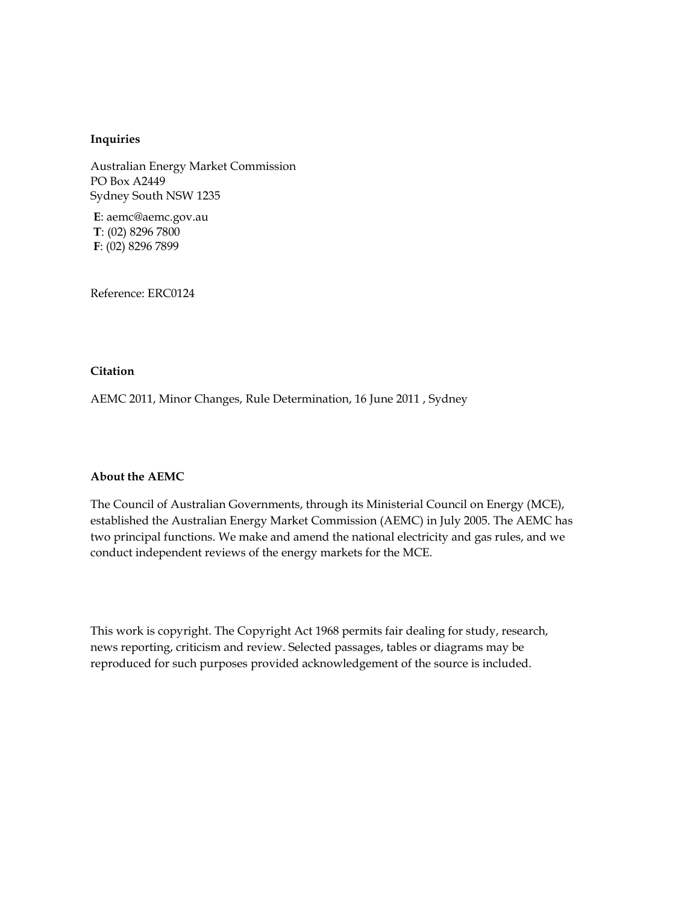#### **Inquiries**

Australian Energy Market Commission PO Box A2449 Sydney South NSW 1235

**E**: aemc@aemc.gov.au **T**: (02) 8296 7800 **F**: (02) 8296 7899

Reference: ERC0124

#### **Citation**

AEMC 2011, Minor Changes, Rule Determination, 16 June 2011 , Sydney

#### **About the AEMC**

The Council of Australian Governments, through its Ministerial Council on Energy (MCE), established the Australian Energy Market Commission (AEMC) in July 2005. The AEMC has two principal functions. We make and amend the national electricity and gas rules, and we conduct independent reviews of the energy markets for the MCE.

This work is copyright. The Copyright Act 1968 permits fair dealing for study, research, news reporting, criticism and review. Selected passages, tables or diagrams may be reproduced for such purposes provided acknowledgement of the source is included.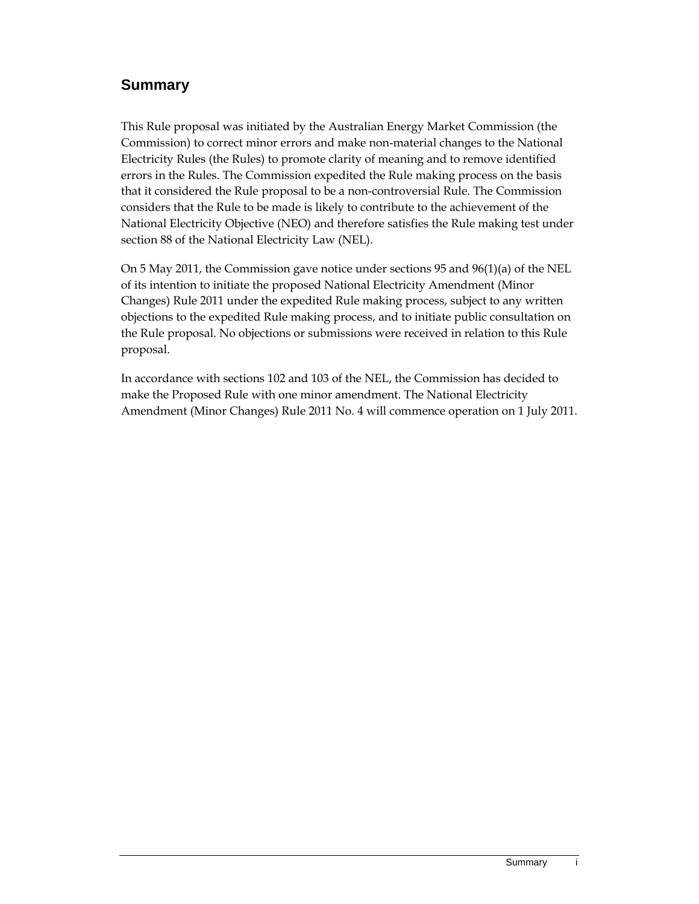### **Summary**

This Rule proposal was initiated by the Australian Energy Market Commission (the Commission) to correct minor errors and make non-material changes to the National Electricity Rules (the Rules) to promote clarity of meaning and to remove identified errors in the Rules. The Commission expedited the Rule making process on the basis that it considered the Rule proposal to be a non-controversial Rule. The Commission considers that the Rule to be made is likely to contribute to the achievement of the National Electricity Objective (NEO) and therefore satisfies the Rule making test under section 88 of the National Electricity Law (NEL).

On 5 May 2011, the Commission gave notice under sections 95 and 96(1)(a) of the NEL of its intention to initiate the proposed National Electricity Amendment (Minor Changes) Rule 2011 under the expedited Rule making process, subject to any written objections to the expedited Rule making process, and to initiate public consultation on the Rule proposal. No objections or submissions were received in relation to this Rule proposal.

In accordance with sections 102 and 103 of the NEL, the Commission has decided to make the Proposed Rule with one minor amendment. The National Electricity Amendment (Minor Changes) Rule 2011 No. 4 will commence operation on 1 July 2011.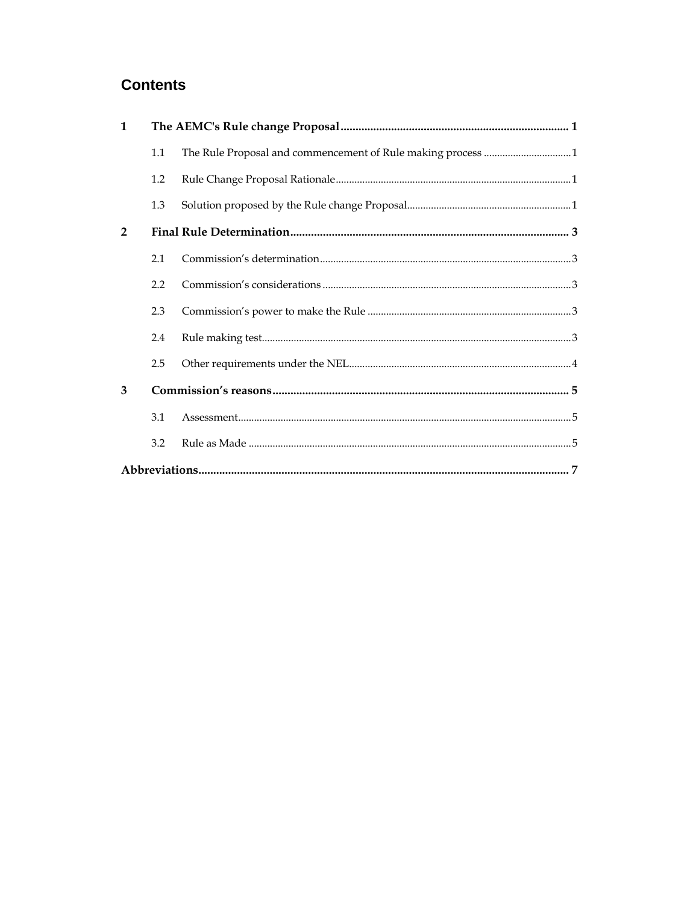## **Contents**

| $\mathbf{1}$   |     |  |  |  |
|----------------|-----|--|--|--|
|                | 1.1 |  |  |  |
|                | 1.2 |  |  |  |
|                | 1.3 |  |  |  |
| $\overline{2}$ |     |  |  |  |
|                | 2.1 |  |  |  |
|                | 2.2 |  |  |  |
|                | 2.3 |  |  |  |
|                | 2.4 |  |  |  |
|                | 2.5 |  |  |  |
| 3              |     |  |  |  |
|                | 3.1 |  |  |  |
|                | 3.2 |  |  |  |
|                |     |  |  |  |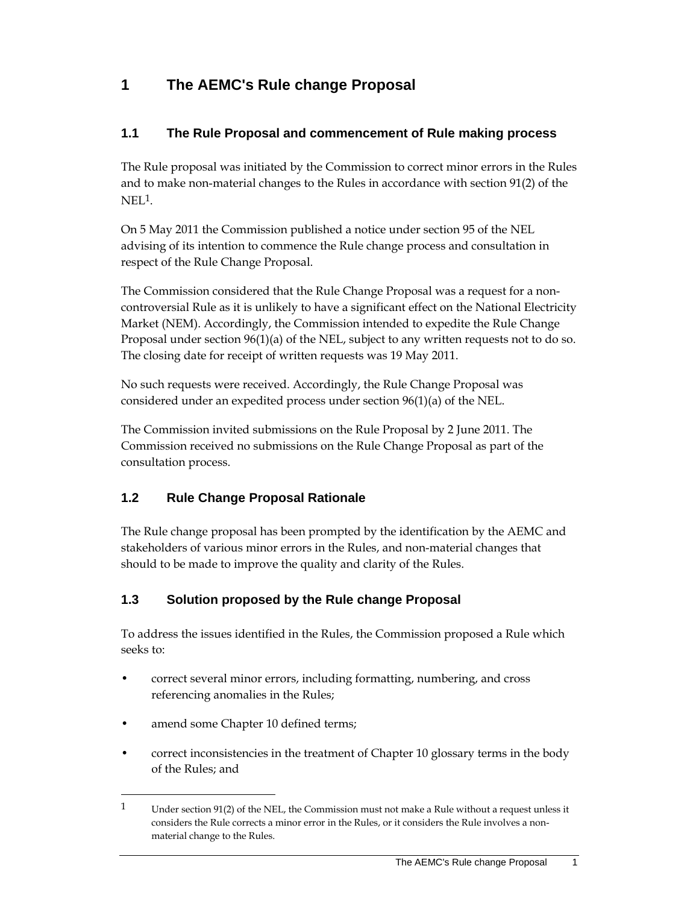## **1 The AEMC's Rule change Proposal**

#### **1.1 The Rule Proposal and commencement of Rule making process**

The Rule proposal was initiated by the Commission to correct minor errors in the Rules and to make non-material changes to the Rules in accordance with section 91(2) of the  $NEL<sup>1</sup>$ .

On 5 May 2011 the Commission published a notice under section 95 of the NEL advising of its intention to commence the Rule change process and consultation in respect of the Rule Change Proposal.

The Commission considered that the Rule Change Proposal was a request for a noncontroversial Rule as it is unlikely to have a significant effect on the National Electricity Market (NEM). Accordingly, the Commission intended to expedite the Rule Change Proposal under section 96(1)(a) of the NEL, subject to any written requests not to do so. The closing date for receipt of written requests was 19 May 2011.

No such requests were received. Accordingly, the Rule Change Proposal was considered under an expedited process under section 96(1)(a) of the NEL.

The Commission invited submissions on the Rule Proposal by 2 June 2011. The Commission received no submissions on the Rule Change Proposal as part of the consultation process.

### **1.2 Rule Change Proposal Rationale**

The Rule change proposal has been prompted by the identification by the AEMC and stakeholders of various minor errors in the Rules, and non-material changes that should to be made to improve the quality and clarity of the Rules.

### **1.3 Solution proposed by the Rule change Proposal**

To address the issues identified in the Rules, the Commission proposed a Rule which seeks to:

- correct several minor errors, including formatting, numbering, and cross referencing anomalies in the Rules;
- amend some Chapter 10 defined terms;

 $\overline{a}$ 

• correct inconsistencies in the treatment of Chapter 10 glossary terms in the body of the Rules; and

<sup>1</sup> Under section 91(2) of the NEL, the Commission must not make a Rule without a request unless it considers the Rule corrects a minor error in the Rules, or it considers the Rule involves a nonmaterial change to the Rules.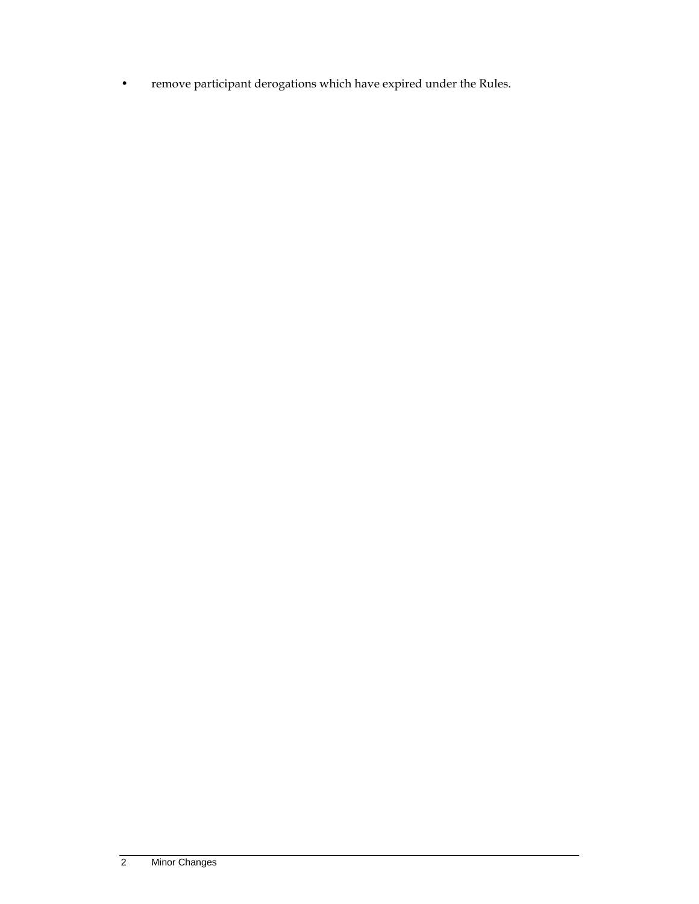• remove participant derogations which have expired under the Rules.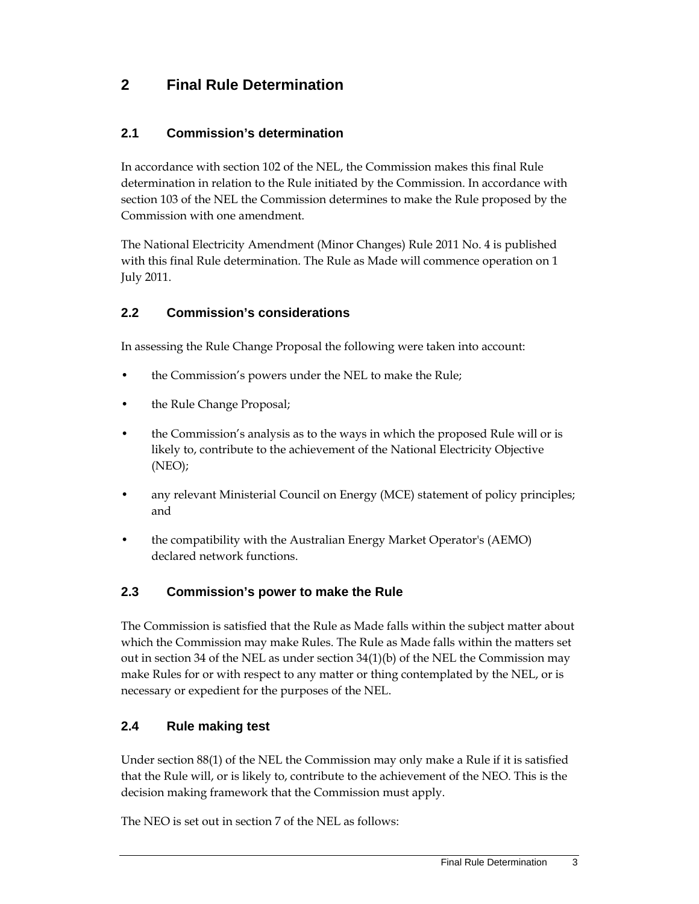## **2 Final Rule Determination**

#### **2.1 Commission's determination**

In accordance with section 102 of the NEL, the Commission makes this final Rule determination in relation to the Rule initiated by the Commission. In accordance with section 103 of the NEL the Commission determines to make the Rule proposed by the Commission with one amendment.

The National Electricity Amendment (Minor Changes) Rule 2011 No. 4 is published with this final Rule determination. The Rule as Made will commence operation on 1 July 2011.

#### **2.2 Commission's considerations**

In assessing the Rule Change Proposal the following were taken into account:

- the Commission's powers under the NEL to make the Rule;
- the Rule Change Proposal;
- the Commission's analysis as to the ways in which the proposed Rule will or is likely to, contribute to the achievement of the National Electricity Objective (NEO);
- any relevant Ministerial Council on Energy (MCE) statement of policy principles; and
- the compatibility with the Australian Energy Market Operator's (AEMO) declared network functions.

#### **2.3 Commission's power to make the Rule**

The Commission is satisfied that the Rule as Made falls within the subject matter about which the Commission may make Rules. The Rule as Made falls within the matters set out in section 34 of the NEL as under section 34(1)(b) of the NEL the Commission may make Rules for or with respect to any matter or thing contemplated by the NEL, or is necessary or expedient for the purposes of the NEL.

#### **2.4 Rule making test**

Under section 88(1) of the NEL the Commission may only make a Rule if it is satisfied that the Rule will, or is likely to, contribute to the achievement of the NEO. This is the decision making framework that the Commission must apply.

The NEO is set out in section 7 of the NEL as follows: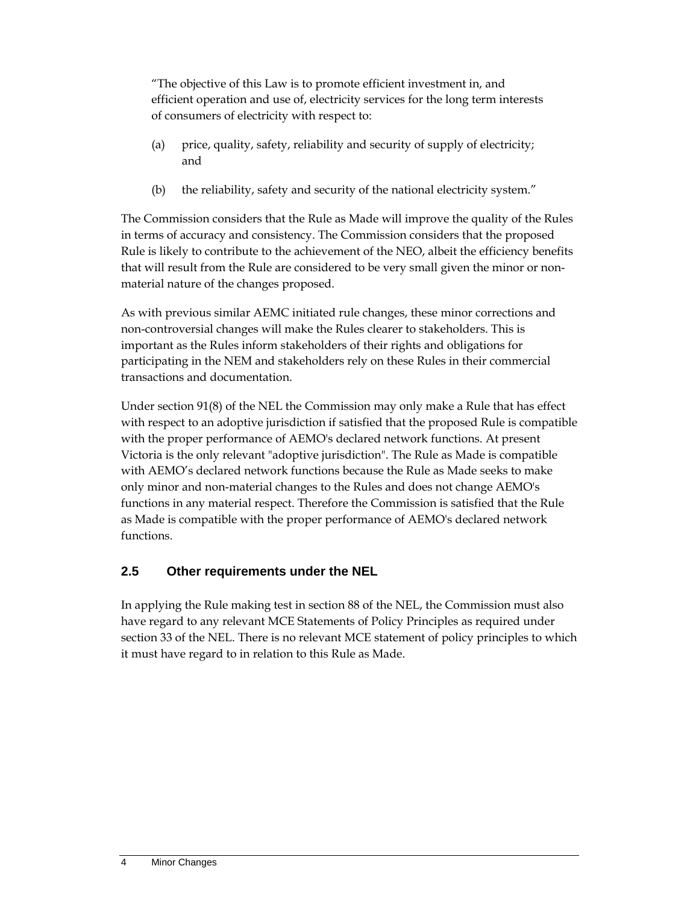"The objective of this Law is to promote efficient investment in, and efficient operation and use of, electricity services for the long term interests of consumers of electricity with respect to:

- (a) price, quality, safety, reliability and security of supply of electricity; and
- (b) the reliability, safety and security of the national electricity system."

The Commission considers that the Rule as Made will improve the quality of the Rules in terms of accuracy and consistency. The Commission considers that the proposed Rule is likely to contribute to the achievement of the NEO, albeit the efficiency benefits that will result from the Rule are considered to be very small given the minor or nonmaterial nature of the changes proposed.

As with previous similar AEMC initiated rule changes, these minor corrections and non-controversial changes will make the Rules clearer to stakeholders. This is important as the Rules inform stakeholders of their rights and obligations for participating in the NEM and stakeholders rely on these Rules in their commercial transactions and documentation.

Under section 91(8) of the NEL the Commission may only make a Rule that has effect with respect to an adoptive jurisdiction if satisfied that the proposed Rule is compatible with the proper performance of AEMO's declared network functions. At present Victoria is the only relevant "adoptive jurisdiction". The Rule as Made is compatible with AEMO's declared network functions because the Rule as Made seeks to make only minor and non-material changes to the Rules and does not change AEMO's functions in any material respect. Therefore the Commission is satisfied that the Rule as Made is compatible with the proper performance of AEMO's declared network functions.

### **2.5 Other requirements under the NEL**

In applying the Rule making test in section 88 of the NEL, the Commission must also have regard to any relevant MCE Statements of Policy Principles as required under section 33 of the NEL. There is no relevant MCE statement of policy principles to which it must have regard to in relation to this Rule as Made.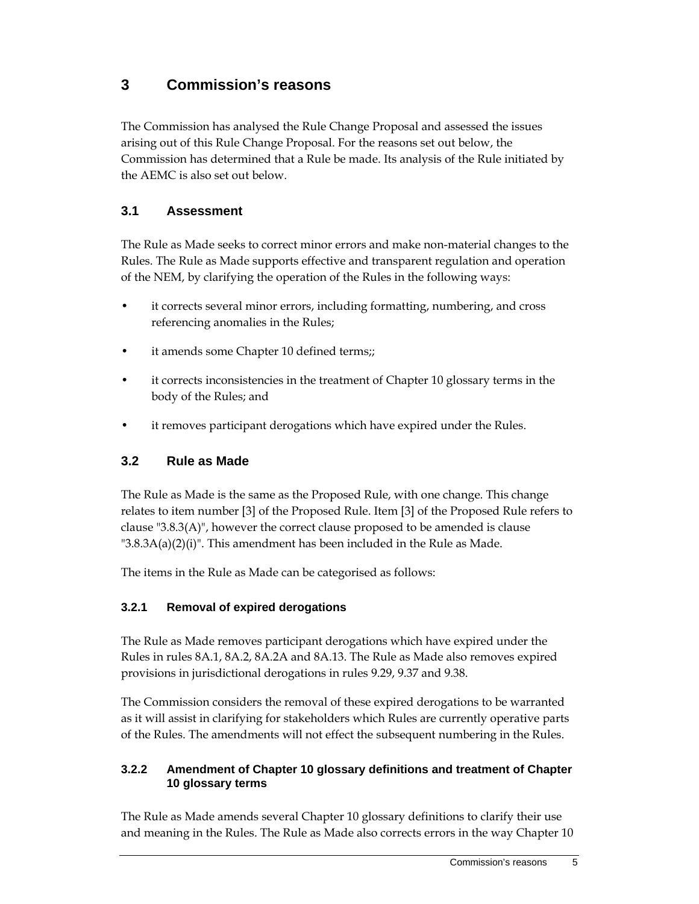## **3 Commission's reasons**

The Commission has analysed the Rule Change Proposal and assessed the issues arising out of this Rule Change Proposal. For the reasons set out below, the Commission has determined that a Rule be made. Its analysis of the Rule initiated by the AEMC is also set out below.

### **3.1 Assessment**

The Rule as Made seeks to correct minor errors and make non-material changes to the Rules. The Rule as Made supports effective and transparent regulation and operation of the NEM, by clarifying the operation of the Rules in the following ways:

- it corrects several minor errors, including formatting, numbering, and cross referencing anomalies in the Rules;
- it amends some Chapter 10 defined terms;;
- it corrects inconsistencies in the treatment of Chapter 10 glossary terms in the body of the Rules; and
- it removes participant derogations which have expired under the Rules.

### **3.2 Rule as Made**

The Rule as Made is the same as the Proposed Rule, with one change. This change relates to item number [3] of the Proposed Rule. Item [3] of the Proposed Rule refers to clause "3.8.3(A)", however the correct clause proposed to be amended is clause  $"3.8.3A(a)(2)(i)$ ". This amendment has been included in the Rule as Made.

The items in the Rule as Made can be categorised as follows:

#### **3.2.1 Removal of expired derogations**

The Rule as Made removes participant derogations which have expired under the Rules in rules 8A.1, 8A.2, 8A.2A and 8A.13. The Rule as Made also removes expired provisions in jurisdictional derogations in rules 9.29, 9.37 and 9.38.

The Commission considers the removal of these expired derogations to be warranted as it will assist in clarifying for stakeholders which Rules are currently operative parts of the Rules. The amendments will not effect the subsequent numbering in the Rules.

#### **3.2.2 Amendment of Chapter 10 glossary definitions and treatment of Chapter 10 glossary terms**

The Rule as Made amends several Chapter 10 glossary definitions to clarify their use and meaning in the Rules. The Rule as Made also corrects errors in the way Chapter 10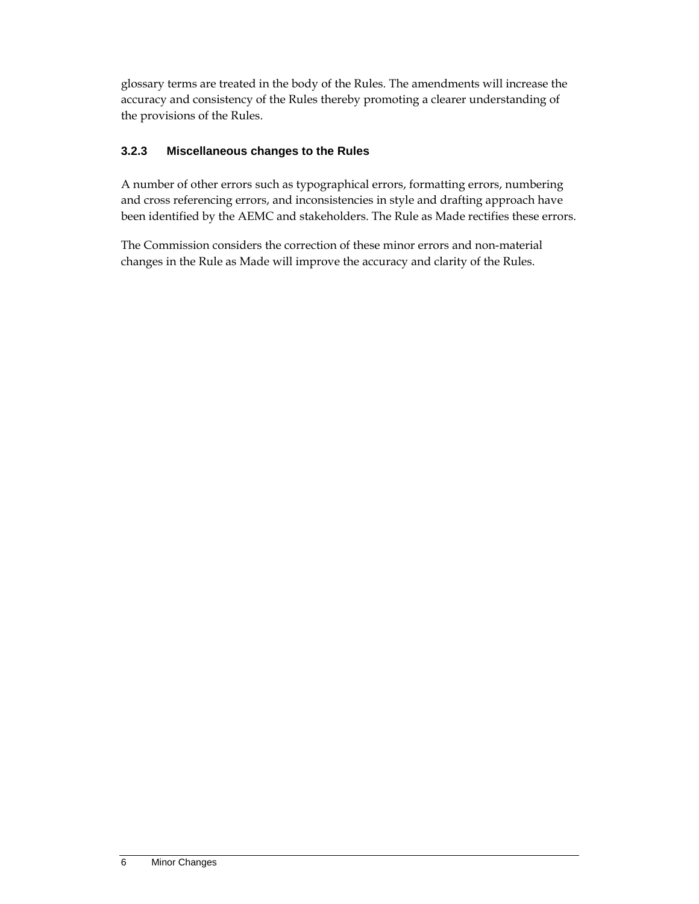glossary terms are treated in the body of the Rules. The amendments will increase the accuracy and consistency of the Rules thereby promoting a clearer understanding of the provisions of the Rules.

#### **3.2.3 Miscellaneous changes to the Rules**

A number of other errors such as typographical errors, formatting errors, numbering and cross referencing errors, and inconsistencies in style and drafting approach have been identified by the AEMC and stakeholders. The Rule as Made rectifies these errors.

The Commission considers the correction of these minor errors and non-material changes in the Rule as Made will improve the accuracy and clarity of the Rules.